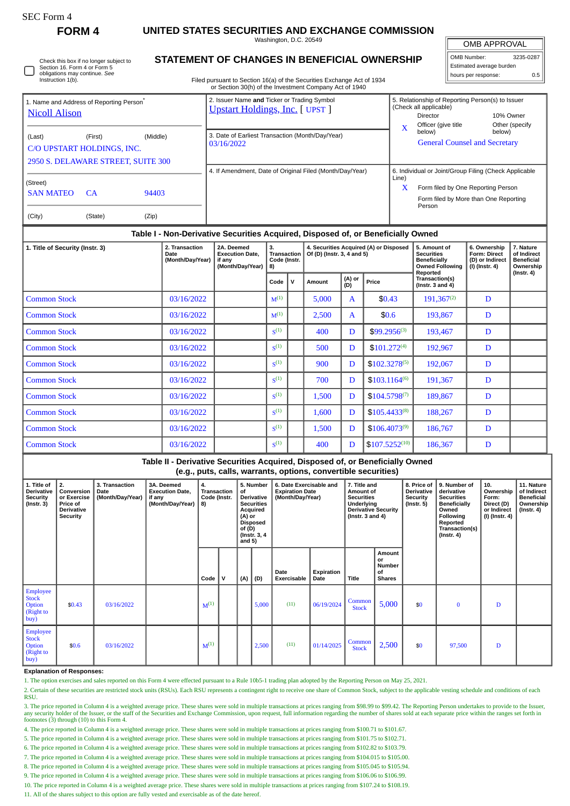Г

**FORM 4 UNITED STATES SECURITIES AND EXCHANGE COMMISSION**

Washington, D.C. 20549

OMB APPROVAL

| OMB Number:              | 3235-0287 |  |  |  |  |  |  |  |
|--------------------------|-----------|--|--|--|--|--|--|--|
| Estimated average burden |           |  |  |  |  |  |  |  |
| hours per response:      | 0.5       |  |  |  |  |  |  |  |

# **STATEMENT OF CHANGES IN BENEFICIAL OWNERSHIP**

Filed pursuant to Section 16(a) of the Securities Exchange Act of 1934 or Section 30(h) of the Investment Company Act of 1940

|                                                                              |                            |          | or occasi ooni or are investment company not or 1940                                  |                                                       |                                                                                        |                          |  |
|------------------------------------------------------------------------------|----------------------------|----------|---------------------------------------------------------------------------------------|-------------------------------------------------------|----------------------------------------------------------------------------------------|--------------------------|--|
| 1. Name and Address of Reporting Person <sup>®</sup><br><b>Nicoll Alison</b> |                            |          | 2. Issuer Name and Ticker or Trading Symbol<br><b>Upstart Holdings, Inc.</b> [ UPST ] |                                                       | 5. Relationship of Reporting Person(s) to Issuer<br>(Check all applicable)<br>Director | 10% Owner                |  |
|                                                                              |                            |          |                                                                                       | X                                                     | Officer (give title<br>below)                                                          | Other (specify<br>below) |  |
| (Last)                                                                       | (First)                    | (Middle) | 3. Date of Earliest Transaction (Month/Day/Year)                                      |                                                       |                                                                                        |                          |  |
|                                                                              |                            |          | 03/16/2022                                                                            |                                                       | <b>General Counsel and Secretary</b>                                                   |                          |  |
|                                                                              | C/O UPSTART HOLDINGS, INC. |          |                                                                                       |                                                       |                                                                                        |                          |  |
| 2950 S. DELAWARE STREET, SUITE 300                                           |                            |          |                                                                                       |                                                       |                                                                                        |                          |  |
|                                                                              |                            |          | 4. If Amendment, Date of Original Filed (Month/Day/Year)                              | 6. Individual or Joint/Group Filing (Check Applicable |                                                                                        |                          |  |
| (Street)                                                                     |                            |          |                                                                                       | Line)                                                 |                                                                                        |                          |  |
| <b>SAN MATEO</b>                                                             | <b>CA</b>                  | 94403    |                                                                                       | X                                                     | Form filed by One Reporting Person                                                     |                          |  |
|                                                                              |                            |          |                                                                                       |                                                       | Form filed by More than One Reporting                                                  |                          |  |
|                                                                              |                            |          |                                                                                       |                                                       | Person                                                                                 |                          |  |
| (City)                                                                       | (State)                    | (Zip)    |                                                                                       |                                                       |                                                                                        |                          |  |

## **Table I - Non-Derivative Securities Acquired, Disposed of, or Beneficially Owned**

| 1. Title of Security (Instr. 3) | 2. Transaction<br>Date<br>(Month/Day/Year) | 2A. Deemed<br><b>Execution Date,</b><br>if any<br>(Month/Day/Year) | 3.<br><b>Transaction</b><br>Code (Instr.<br>8) |   | 4. Securities Acquired (A) or Disposed<br>Of (D) (Instr. 3, 4 and 5) |                        |                    | 5. Amount of<br><b>Securities</b><br><b>Beneficially</b><br><b>Owned Following</b><br>Reported | 6. Ownership<br><b>Form: Direct</b><br>(D) or Indirect<br>$(I)$ (Instr. 4) | 7. Nature<br>of Indirect<br><b>Beneficial</b><br>Ownership<br>$($ Instr. 4 $)$ |
|---------------------------------|--------------------------------------------|--------------------------------------------------------------------|------------------------------------------------|---|----------------------------------------------------------------------|------------------------|--------------------|------------------------------------------------------------------------------------------------|----------------------------------------------------------------------------|--------------------------------------------------------------------------------|
|                                 |                                            |                                                                    | Code                                           | v | Amount                                                               | (A) or<br>(D)<br>Price |                    | Transaction(s)<br>( $Instr. 3 and 4$ )                                                         |                                                                            |                                                                                |
| <b>Common Stock</b>             | 03/16/2022                                 |                                                                    | $M^{(1)}$                                      |   | 5,000                                                                | $\mathbf{A}$           | \$0.43             | $191,367^{(2)}$                                                                                | D                                                                          |                                                                                |
| <b>Common Stock</b>             | 03/16/2022                                 |                                                                    | $M^{(1)}$                                      |   | 2,500                                                                | $\mathbf{A}$           | \$0.6              | 193,867                                                                                        | D                                                                          |                                                                                |
| <b>Common Stock</b>             | 03/16/2022                                 |                                                                    | S <sup>(1)</sup>                               |   | 400                                                                  | D                      | \$99.2956(3)       | 193,467                                                                                        | D                                                                          |                                                                                |
| <b>Common Stock</b>             | 03/16/2022                                 |                                                                    | S <sup>(1)</sup>                               |   | 500                                                                  | D                      | $$101.272^{(4)}$   | 192,967                                                                                        | D                                                                          |                                                                                |
| <b>Common Stock</b>             | 03/16/2022                                 |                                                                    | S <sup>(1)</sup>                               |   | 900                                                                  | D                      | $$102.3278^{(5)}$  | 192,067                                                                                        | D                                                                          |                                                                                |
| <b>Common Stock</b>             | 03/16/2022                                 |                                                                    | $\mathbf{S}^{(1)}$                             |   | 700                                                                  | D                      | $$103.1164^{(6)}$  | 191,367                                                                                        | D                                                                          |                                                                                |
| <b>Common Stock</b>             | 03/16/2022                                 |                                                                    | $\mathbf{S}^{(1)}$                             |   | 1,500                                                                | D                      | $$104.5798^{(7)}$  | 189,867                                                                                        | D                                                                          |                                                                                |
| <b>Common Stock</b>             | 03/16/2022                                 |                                                                    | $\mathbf{S}^{(1)}$                             |   | 1,600                                                                | D                      | $$105.4433^{(8)}$  | 188,267                                                                                        | D                                                                          |                                                                                |
| <b>Common Stock</b>             | 03/16/2022                                 |                                                                    | S <sup>(1)</sup>                               |   | 1,500                                                                | D                      | $$106.4073^{(9)}$  | 186,767                                                                                        | D                                                                          |                                                                                |
| <b>Common Stock</b>             | 03/16/2022                                 |                                                                    | $\mathbf{S}^{(1)}$                             |   | 400                                                                  | D                      | $$107.5252^{(10)}$ | 186,367                                                                                        | D                                                                          |                                                                                |

### **Table II - Derivative Securities Acquired, Disposed of, or Beneficially Owned (e.g., puts, calls, warrants, options, convertible securities)**

| 1. Title of<br><b>Derivative</b><br><b>Security</b><br>$($ Instr. 3 $)$ | 2.<br>Conversion<br>or Exercise<br><b>Price of</b><br><b>Derivative</b><br>Security | 3. Transaction<br>Date<br>(Month/Day/Year) | 3A. Deemed<br><b>Execution Date,</b><br>if any<br>(Month/Day/Year)   8) | 4.<br><b>Transaction</b><br>Code (Instr. |   | 5. Number<br>6. Date Exercisable and<br>of<br><b>Expiration Date</b><br>Derivative<br>(Month/Day/Year)<br><b>Securities</b><br>Acquired<br>(A) or<br><b>Disposed</b><br>of (D)<br>(Instr. 3, 4<br>and $5)$ |       |                     | 7. Title and<br>Amount of<br><b>Securities</b><br>Underlying<br><b>Derivative Security</b><br>( $lnstr. 3 and 4$ ) |                        | 8. Price of<br><b>Derivative</b><br>Security<br>(Instr. 5) | 9. Number of<br>derivative<br><b>Securities</b><br>Beneficially<br>Owned<br>Following<br>Reported<br>Transaction(s)<br>$($ lnstr. 4 $)$ | 10.<br>Ownership<br>Form:<br>Direct (D)<br>or Indirect<br>(I) (Instr. 4) | 11. Nature<br>of Indirect<br><b>Beneficial</b><br>Ownership<br>$($ Instr. 4 $)$ |  |
|-------------------------------------------------------------------------|-------------------------------------------------------------------------------------|--------------------------------------------|-------------------------------------------------------------------------|------------------------------------------|---|------------------------------------------------------------------------------------------------------------------------------------------------------------------------------------------------------------|-------|---------------------|--------------------------------------------------------------------------------------------------------------------|------------------------|------------------------------------------------------------|-----------------------------------------------------------------------------------------------------------------------------------------|--------------------------------------------------------------------------|---------------------------------------------------------------------------------|--|
|                                                                         |                                                                                     |                                            |                                                                         | Code                                     | v | (A)                                                                                                                                                                                                        | (D)   | Date<br>Exercisable | Expiration<br>Date                                                                                                 | <b>Title</b>           | Amount<br>or<br>Number<br>of<br><b>Shares</b>              |                                                                                                                                         |                                                                          |                                                                                 |  |
| <b>Employee</b><br><b>Stock</b><br>Option<br>(Right to<br>buy)          | \$0.43                                                                              | 03/16/2022                                 |                                                                         | $M^{(1)}$                                |   |                                                                                                                                                                                                            | 5,000 | (11)                | 06/19/2024                                                                                                         | Common<br><b>Stock</b> | 5,000                                                      | \$0                                                                                                                                     | $\bf{0}$                                                                 | D                                                                               |  |
| <b>Employee</b><br><b>Stock</b><br>Option<br>(Right to<br>buy)          | \$0.6                                                                               | 03/16/2022                                 |                                                                         | $M^{(1)}$                                |   |                                                                                                                                                                                                            | 2,500 | (11)                | 01/14/2025                                                                                                         | Common<br><b>Stock</b> | 2,500                                                      | \$0                                                                                                                                     | 97,500                                                                   | D                                                                               |  |

#### **Explanation of Responses:**

1. The option exercises and sales reported on this Form 4 were effected pursuant to a Rule 10b5-1 trading plan adopted by the Reporting Person on May 25, 2021.

2. Certain of these securities are restricted stock units (RSUs). Each RSU represents a contingent right to receive one share of Common Stock, subject to the applicable vesting schedule and conditions of each RSU.

3. The price reported in Column 4 is a weighted average price. These shares were sold in multiple transactions at prices ranging from \$98.99 to \$99.42. The Reporting Person undertakes to provide to the Issuer, any security holder of the Issuer, or the staff of the Securities and Exchange Commission, upon request, full information regarding the number of shares sold at each separate price within the ranges set forth in footnotes (3) through (10) to this Form 4.

4. The price reported in Column 4 is a weighted average price. These shares were sold in multiple transactions at prices ranging from \$100.71 to \$101.67.

5. The price reported in Column 4 is a weighted average price. These shares were sold in multiple transactions at prices ranging from \$101.75 to \$102.71.

6. The price reported in Column 4 is a weighted average price. These shares were sold in multiple transactions at prices ranging from \$102.82 to \$103.79.

7. The price reported in Column 4 is a weighted average price. These shares were sold in multiple transactions at prices ranging from \$104.015 to \$105.00.

8. The price reported in Column 4 is a weighted average price. These shares were sold in multiple transactions at prices ranging from \$105.045 to \$105.94.

9. The price reported in Column 4 is a weighted average price. These shares were sold in multiple transactions at prices ranging from \$106.06 to \$106.99.

10. The price reported in Column 4 is a weighted average price. These shares were sold in multiple transactions at prices ranging from \$107.24 to \$108.19.

11. All of the shares subject to this option are fully vested and exercisable as of the date hereof.